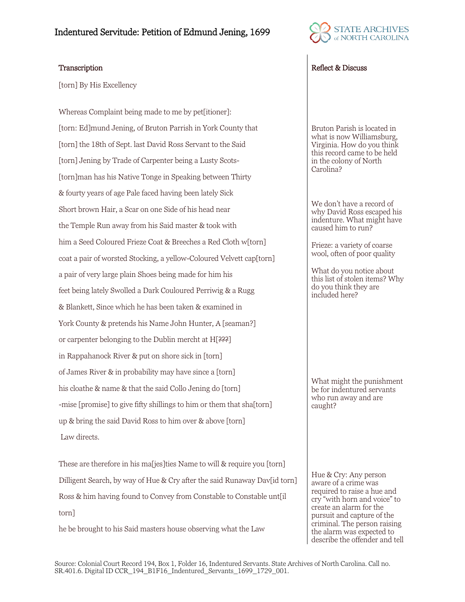

[torn] By His Excellency

Whereas Complaint being made to me by pet[itioner]: [torn: Ed]mund Jening, of Bruton Parrish in York County that [torn] the 18th of Sept. last David Ross Servant to the Said [torn] Jening by Trade of Carpenter being a Lusty Scots-[torn]man has his Native Tonge in Speaking between Thirty & fourty years of age Pale faced having been lately Sick Short brown Hair, a Scar on one Side of his head near the Temple Run away from his Said master & took with him a Seed Coloured Frieze Coat & Breeches a Red Cloth w[torn] coat a pair of worsted Stocking, a yellow-Coloured Velvett cap[torn] a pair of very large plain Shoes being made for him his feet being lately Swolled a Dark Couloured Perriwig & a Rugg & Blankett, Since which he has been taken & examined in York County & pretends his Name John Hunter, A [seaman?] or carpenter belonging to the Dublin mercht at H[???] in Rappahanock River & put on shore sick in [torn] of James River & in probability may have since a [torn] his cloathe & name & that the said Collo Jening do [torn] -mise [promise] to give fifty shillings to him or them that sha[torn] up & bring the said David Ross to him over & above [torn] Law directs.

These are therefore in his ma[jes]ties Name to will & require you [torn] Dilligent Search, by way of Hue & Cry after the said Runaway Dav[id torn] Ross & him having found to Convey from Constable to Constable unt[il torn]

he be brought to his Said masters house observing what the Law

## Transcription and the contract of the contract of the contract of the Reflect & Discuss

Bruton Parish is located in what is now Williamsburg, Virginia. How do you think this record came to be held in the colony of North Carolina?

We don't have a record of why David Ross escaped his indenture. What might have caused him to run?

Frieze: a variety of coarse wool, often of poor quality

What do you notice about this list of stolen items? Why do you think they are included here?

What might the punishment be for indentured servants who run away and are caught?

Hue & Cry: Any person aware of a crime was required to raise a hue and cry "with horn and voice" to create an alarm for the pursuit and capture of the criminal. The person raising the alarm was expected to describe the offender and tell